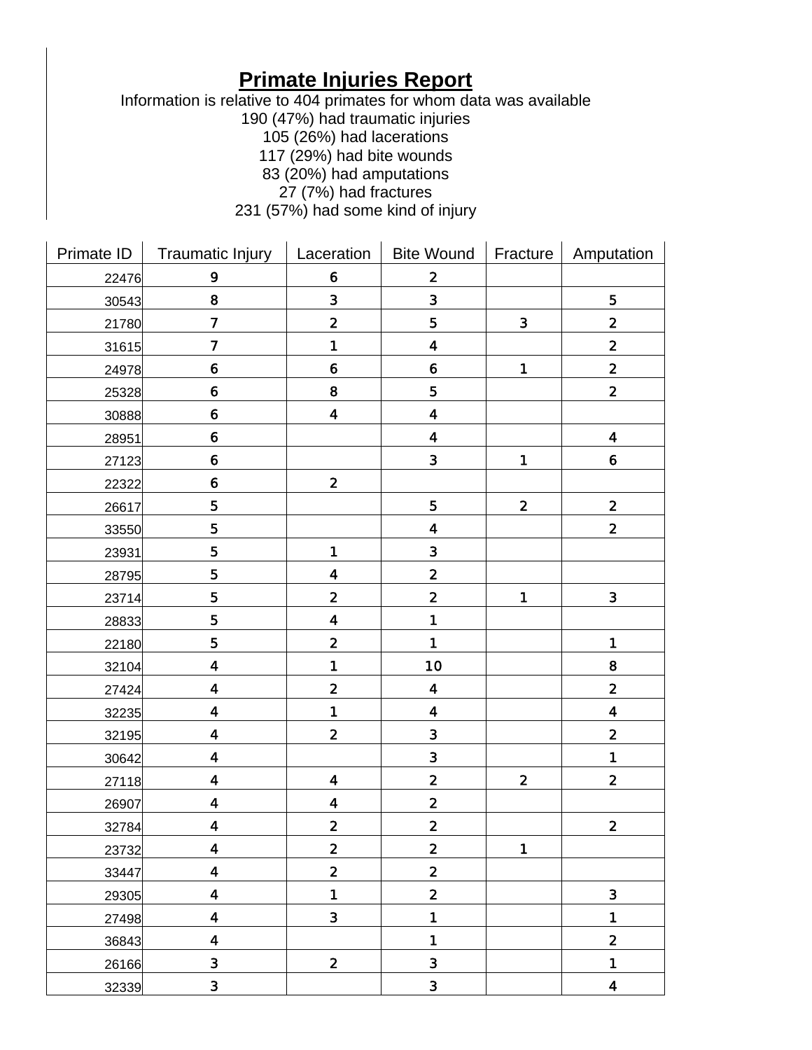## **Primate Injuries Report**

Information is relative to 404 primates for whom data was available

190 (47%) had traumatic injuries

- 105 (26%) had lacerations
- 117 (29%) had bite wounds
- 83 (20%) had amputations
	- 27 (7%) had fractures

231 (57%) had some kind of injury

| Primate ID | <b>Traumatic Injury</b> | Laceration              | Bite Wound              | Fracture       | Amputation              |
|------------|-------------------------|-------------------------|-------------------------|----------------|-------------------------|
| 22476      | 9                       | $\boldsymbol{6}$        | $\mathbf{2}$            |                |                         |
| 30543      | 8                       | 3                       | 3                       |                | 5                       |
| 21780      | $\overline{\mathbf{z}}$ | $\mathbf 2$             | 5                       | $\mathbf{3}$   | $\mathbf{2}$            |
| 31615      | $\overline{\mathbf{z}}$ | 1                       | $\overline{\mathbf{4}}$ |                | $\overline{\mathbf{2}}$ |
| 24978      | $\boldsymbol{6}$        | $\boldsymbol{6}$        | $\boldsymbol{6}$        | $\blacksquare$ | $\mathbf{2}$            |
| 25328      | $\boldsymbol{6}$        | 8                       | 5                       |                | $\mathbf{2}$            |
| 30888      | $\boldsymbol{6}$        | 4                       | $\overline{\mathbf{4}}$ |                |                         |
| 28951      | $\boldsymbol{6}$        |                         | $\ddot{\mathbf{4}}$     |                | $\boldsymbol{4}$        |
| 27123      | $\boldsymbol{6}$        |                         | $\mathbf{3}$            | 1              | $\boldsymbol{6}$        |
| 22322      | $\boldsymbol{6}$        | $\mathbf{2}$            |                         |                |                         |
| 26617      | 5                       |                         | 5                       | $\mathbf 2$    | $\mathbf{2}$            |
| 33550      | 5                       |                         | 4                       |                | $\mathbf{2}$            |
| 23931      | 5                       | 1                       | $\mathbf{3}$            |                |                         |
| 28795      | 5                       | 4                       | $\mathbf 2$             |                |                         |
| 23714      | 5                       | $\overline{\mathbf{2}}$ | $\overline{\mathbf{2}}$ | 1              | $\mathbf{3}$            |
| 28833      | 5                       | 4                       | 1                       |                |                         |
| 22180      | 5                       | $\overline{\mathbf{2}}$ | 1                       |                | 1                       |
| 32104      | $\overline{\mathbf{4}}$ | 1                       | 10                      |                | 8                       |
| 27424      | $\overline{\mathbf{4}}$ | $\overline{\mathbf{2}}$ | $\overline{\mathbf{4}}$ |                | $\mathbf{2}$            |
| 32235      | $\overline{\mathbf{4}}$ | 1                       | $\overline{\mathbf{4}}$ |                | $\overline{\mathbf{4}}$ |
| 32195      | $\ddot{\mathbf{4}}$     | $\mathbf 2$             | $\mathbf 3$             |                | $\mathbf{2}$            |
| 30642      | 4                       |                         | 3                       |                | $\blacksquare$          |
| 27118      | $\overline{\mathbf{4}}$ | 4                       | $\mathbf 2$             | $\mathbf 2$    | $\mathbf{2}$            |
| 26907      | $\overline{\mathbf{4}}$ | 4                       | $\mathbf{2}$            |                |                         |
| 32784      | $\ddot{\mathbf{4}}$     | $\mathbf 2$             | $\mathbf{2}$            |                | $\mathbf{2}$            |
| 23732      | $\overline{\mathbf{4}}$ | $\overline{\mathbf{2}}$ | $\mathbf 2$             | 1              |                         |
| 33447      | $\overline{\mathbf{4}}$ | $\overline{\mathbf{2}}$ | $\overline{\mathbf{2}}$ |                |                         |
| 29305      | 4                       | 1                       | $\overline{\mathbf{2}}$ |                | $\mathbf{3}$            |
| 27498      | $\overline{\mathbf{4}}$ | $\overline{\mathbf{3}}$ | 1                       |                | 1                       |
| 36843      | 4                       |                         | 1                       |                | $\overline{\mathbf{2}}$ |
| 26166      | $\mathbf 3$             | $\overline{\mathbf{2}}$ | $\overline{\mathbf{3}}$ |                | 1                       |
| 32339      | $\mathbf{3}$            |                         | $\overline{\mathbf{3}}$ |                | 4                       |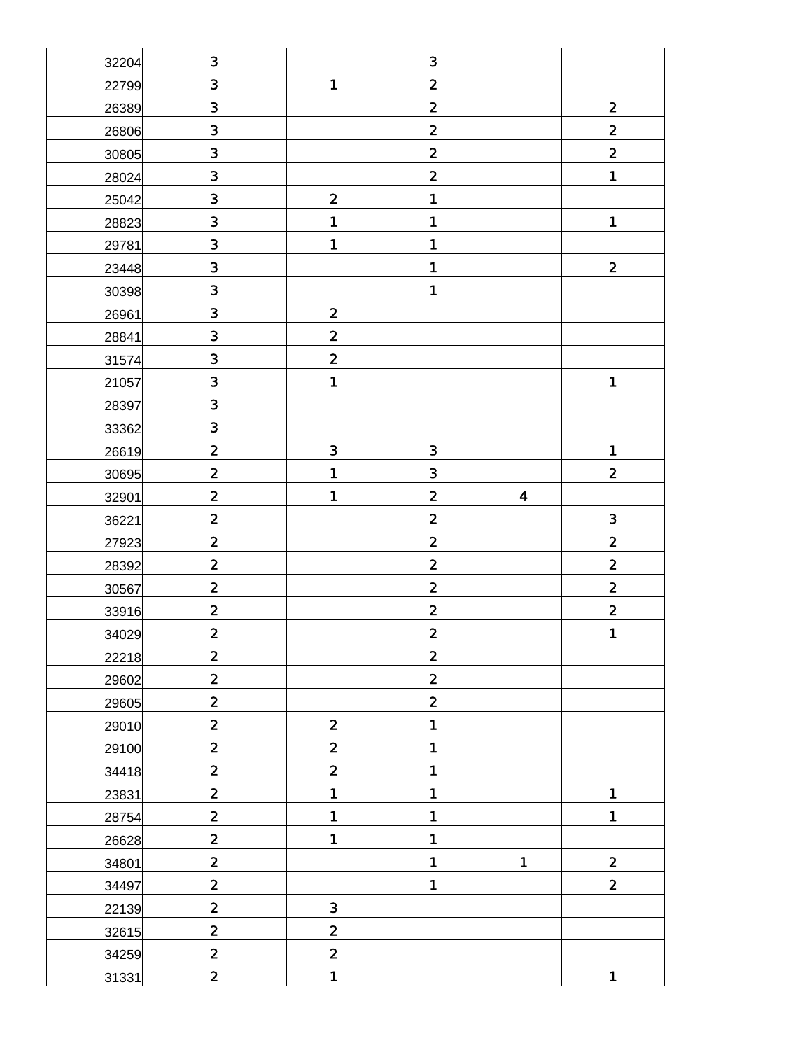| 32204 | $\mathbf 3$             |                         | $\mathbf{3}$            |                  |                         |
|-------|-------------------------|-------------------------|-------------------------|------------------|-------------------------|
| 22799 | $\overline{\mathbf{3}}$ | $\blacksquare$          | $\overline{\mathbf{2}}$ |                  |                         |
| 26389 | $\mathbf{3}$            |                         | $\overline{\mathbf{2}}$ |                  | $\mathbf{2}$            |
| 26806 | $\mathbf{3}$            |                         | $\overline{\mathbf{2}}$ |                  | $\mathbf{2}$            |
| 30805 | $\overline{\mathbf{3}}$ |                         | $\overline{\mathbf{2}}$ |                  | $\mathbf{2}$            |
| 28024 | $\mathbf 3$             |                         | $\overline{\mathbf{2}}$ |                  | $\mathbf{1}$            |
| 25042 | 3                       | $\overline{\mathbf{2}}$ | 1                       |                  |                         |
| 28823 | $\mathbf{3}$            | 1                       | 1                       |                  | $\blacksquare$          |
| 29781 | $\overline{\mathbf{3}}$ | $\blacksquare$          | 1                       |                  |                         |
| 23448 | $\overline{\mathbf{3}}$ |                         | 1                       |                  | $\mathbf{2}$            |
| 30398 | $\mathbf{3}$            |                         | 1                       |                  |                         |
| 26961 | $\mathbf{3}$            | $\overline{\mathbf{2}}$ |                         |                  |                         |
| 28841 | $\mathbf 3$             | $\mathbf{2}$            |                         |                  |                         |
| 31574 | $\overline{\mathbf{3}}$ | $\overline{\mathbf{2}}$ |                         |                  |                         |
| 21057 | $\mathbf{3}$            | $\blacksquare$          |                         |                  | 1                       |
| 28397 | $\overline{\mathbf{3}}$ |                         |                         |                  |                         |
| 33362 | $\mathbf{3}$            |                         |                         |                  |                         |
| 26619 | $\mathbf{2}$            | $\overline{\mathbf{3}}$ | $\mathbf{3}$            |                  | $\mathbf 1$             |
| 30695 | $\mathbf{2}$            | 1                       | 3                       |                  | $\overline{\mathbf{2}}$ |
| 32901 | $\mathbf{2}$            | $\mathbf{1}$            | $\overline{\mathbf{2}}$ | $\boldsymbol{4}$ |                         |
| 36221 | $\mathbf 2$             |                         | $\mathbf{2}$            |                  | $\overline{\mathbf{3}}$ |
| 27923 | $\mathbf{2}$            |                         | $\overline{\mathbf{2}}$ |                  | $\mathbf{2}$            |
| 28392 | $\overline{\mathbf{2}}$ |                         | $\overline{\mathbf{2}}$ |                  | $\overline{\mathbf{2}}$ |
| 30567 | $\mathbf 2$             |                         | $\overline{\mathbf{2}}$ |                  | $\mathbf 2$             |
| 33916 | $\mathbf{2}$            |                         | $\overline{\mathbf{2}}$ |                  | $\mathbf{2}$            |
| 34029 | $\overline{\mathbf{2}}$ |                         | $\overline{\mathbf{2}}$ |                  | $\mathbf{1}$            |
| 22218 | $\mathbf 2$             |                         | $\mathbf{2}$            |                  |                         |
| 29602 |                         |                         |                         |                  |                         |
|       | $\overline{\mathbf{2}}$ |                         | $\overline{\mathbf{2}}$ |                  |                         |
| 29605 | $\overline{\mathbf{2}}$ |                         | $\mathbf{2}$            |                  |                         |
| 29010 | $\overline{\mathbf{2}}$ | $\mathbf{2}$            | 1                       |                  |                         |
| 29100 | $\overline{\mathbf{2}}$ | $\overline{\mathbf{2}}$ | 1                       |                  |                         |
| 34418 | $\mathbf{2}$            | $\overline{\mathbf{2}}$ | 1                       |                  |                         |
| 23831 | $\overline{\mathbf{2}}$ | $\blacksquare$          | 1                       |                  | $\mathbf 1$             |
| 28754 | $\overline{\mathbf{2}}$ | $\blacksquare$          | 1                       |                  | 1                       |
| 26628 | $\overline{\mathbf{2}}$ | $\blacksquare$          | 1                       |                  |                         |
| 34801 | $\overline{\mathbf{2}}$ |                         | 1                       | $\blacksquare$   | $\mathbf{2}$            |
| 34497 | $\mathbf{2}$            |                         | 1                       |                  | $\mathbf{2}$            |
| 22139 | $\overline{\mathbf{2}}$ | $\overline{\mathbf{3}}$ |                         |                  |                         |
| 32615 | $\overline{\mathbf{2}}$ | $\overline{\mathbf{2}}$ |                         |                  |                         |
| 34259 | $\overline{\mathbf{2}}$ | $\overline{\mathbf{2}}$ |                         |                  |                         |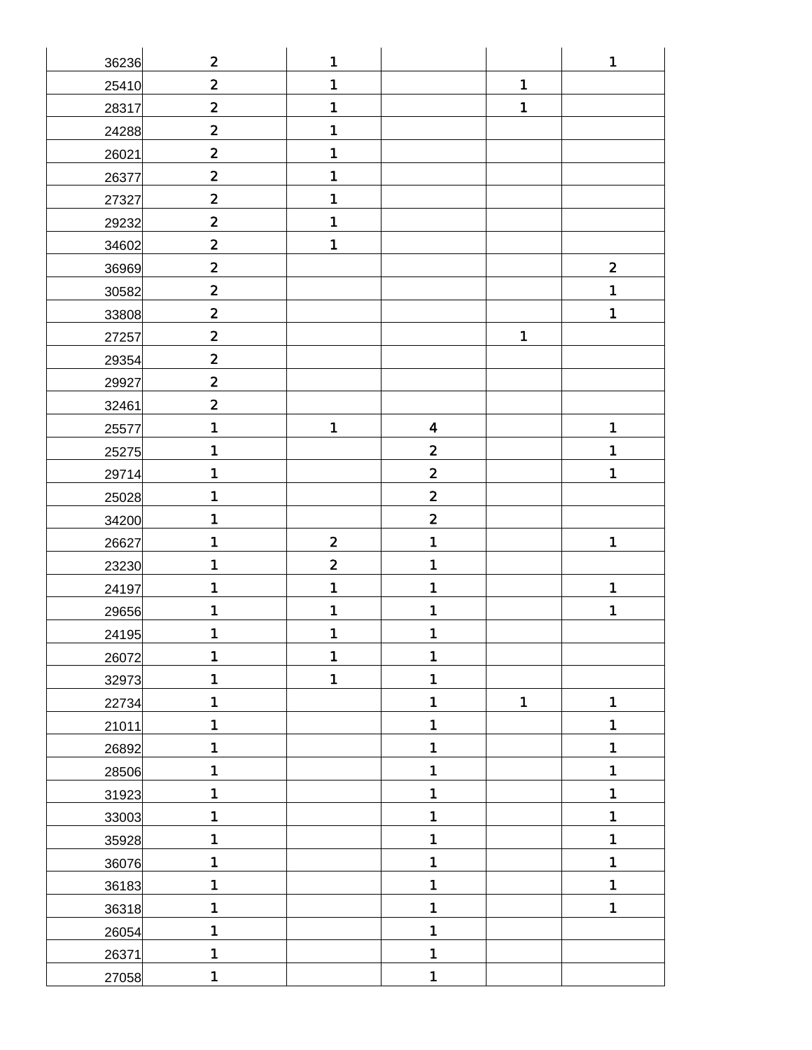| 36236 | $\mathbf 2$             | 1                       |                         |              | 1                       |
|-------|-------------------------|-------------------------|-------------------------|--------------|-------------------------|
| 25410 | $\mathbf 2$             | 1                       |                         | $\mathbf 1$  |                         |
| 28317 | $\mathbf 2$             | 1                       |                         | 1            |                         |
| 24288 | $\mathbf 2$             | 1                       |                         |              |                         |
| 26021 | $\mathbf 2$             | 1                       |                         |              |                         |
| 26377 | $\mathbf 2$             | 1                       |                         |              |                         |
| 27327 | $\mathbf{2}$            | 1                       |                         |              |                         |
| 29232 | $\mathbf 2$             | 1                       |                         |              |                         |
| 34602 | $\mathbf{2}$            | 1                       |                         |              |                         |
| 36969 | $\mathbf 2$             |                         |                         |              | $\overline{\mathbf{2}}$ |
| 30582 | $\mathbf 2$             |                         |                         |              | 1                       |
| 33808 | $\mathbf 2$             |                         |                         |              | 1                       |
| 27257 | $\mathbf 2$             |                         |                         | 1            |                         |
| 29354 | $\mathbf 2$             |                         |                         |              |                         |
| 29927 | $\mathbf 2$             |                         |                         |              |                         |
| 32461 | $\overline{\mathbf{2}}$ |                         |                         |              |                         |
| 25577 | 1                       | 1                       | $\overline{\mathbf{4}}$ |              | 1                       |
| 25275 | 1                       |                         | $\mathbf{2}$            |              | 1                       |
| 29714 | 1                       |                         | $\mathbf{2}$            |              | 1                       |
| 25028 | 1                       |                         | $\mathbf{2}$            |              |                         |
| 34200 | 1                       |                         | $\mathbf 2$             |              |                         |
| 26627 | 1                       | $\overline{\mathbf{2}}$ | 1                       |              | 1                       |
| 23230 | 1                       | $\overline{\mathbf{2}}$ | 1                       |              |                         |
| 24197 | 1                       | 1                       | 1                       |              | 1                       |
| 29656 | 1                       | 1                       | 1                       |              | 1                       |
| 24195 | 1                       | 1                       | 1                       |              |                         |
| 26072 | 1                       | 1                       | 1                       |              |                         |
| 32973 | 1                       | 1                       | 1                       |              |                         |
| 22734 | 1                       |                         | 1                       | $\mathbf{1}$ | 1                       |
| 21011 | 1                       |                         | 1                       |              | 1                       |
| 26892 | 1                       |                         | 1                       |              | 1                       |
| 28506 | 1                       |                         | 1                       |              | 1                       |
| 31923 | 1                       |                         | 1                       |              | 1                       |
| 33003 | 1                       |                         | 1                       |              | 1                       |
| 35928 | 1                       |                         | 1                       |              | 1                       |
| 36076 | 1                       |                         | 1                       |              | 1                       |
| 36183 | 1                       |                         | 1                       |              | 1                       |
| 36318 | 1                       |                         | 1                       |              | 1                       |
| 26054 | 1                       |                         | 1                       |              |                         |
| 26371 | 1                       |                         | 1                       |              |                         |
| 27058 | 1                       |                         | 1                       |              |                         |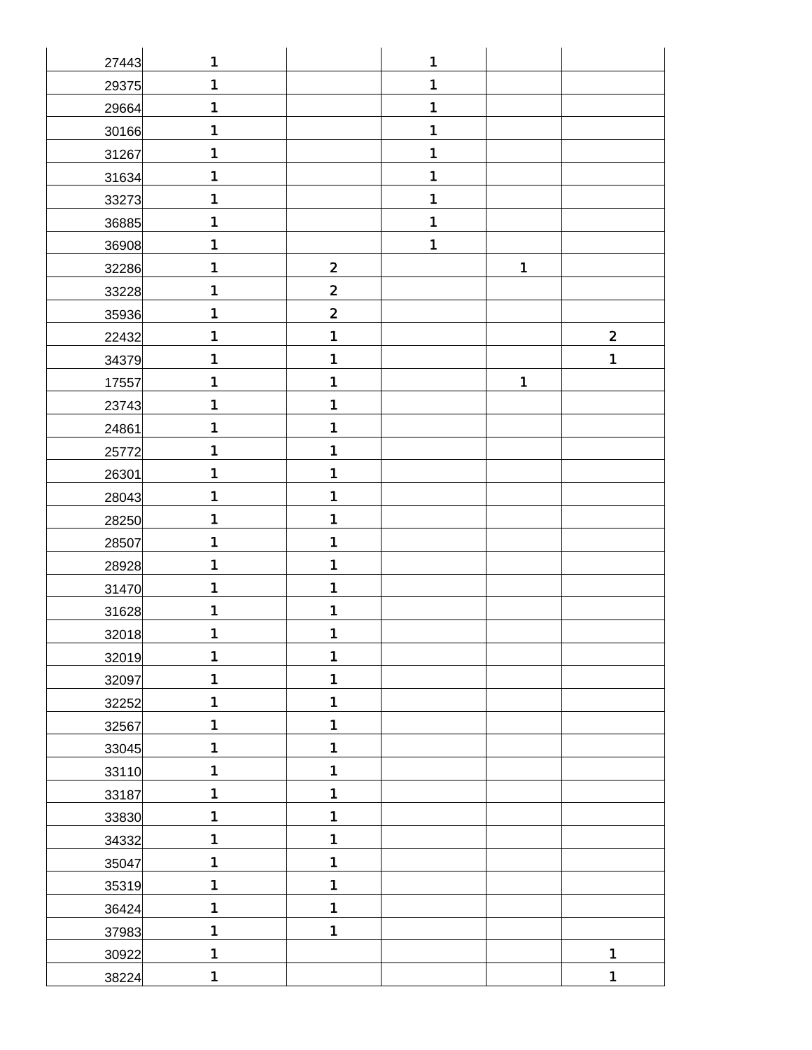| 27443 | 1              |                         | 1 |              |              |
|-------|----------------|-------------------------|---|--------------|--------------|
| 29375 | $\mathbf{1}$   |                         | 1 |              |              |
| 29664 | 1              |                         | 1 |              |              |
| 30166 | 1              |                         | 1 |              |              |
| 31267 | 1              |                         | 1 |              |              |
| 31634 | 1              |                         | 1 |              |              |
| 33273 | 1              |                         | 1 |              |              |
| 36885 | 1              |                         | 1 |              |              |
| 36908 | 1              |                         | 1 |              |              |
| 32286 | 1              | $\overline{\mathbf{2}}$ |   | $\mathbf 1$  |              |
| 33228 | $\mathbf 1$    | $\overline{\mathbf{2}}$ |   |              |              |
| 35936 | 1              | $\overline{\mathbf{2}}$ |   |              |              |
| 22432 | 1              | 1                       |   |              | $\mathbf{2}$ |
| 34379 | 1              | 1                       |   |              | 1            |
| 17557 | 1              | 1                       |   | $\mathbf{1}$ |              |
| 23743 | 1              | $\blacksquare$          |   |              |              |
| 24861 | 1              | 1                       |   |              |              |
| 25772 | $\mathbf 1$    | 1                       |   |              |              |
| 26301 | 1              | 1                       |   |              |              |
| 28043 | 1              | 1                       |   |              |              |
| 28250 | 1              | 1                       |   |              |              |
| 28507 | 1              | 1                       |   |              |              |
| 28928 | 1              | 1                       |   |              |              |
| 31470 | 1              | 1                       |   |              |              |
| 31628 | 1              | 1                       |   |              |              |
| 32018 | 1              | 1                       |   |              |              |
| 32019 | 1              | 1                       |   |              |              |
| 32097 | $\blacksquare$ | 1                       |   |              |              |
| 32252 | 1              | 1                       |   |              |              |
| 32567 | 1              | $\mathbf{1}$            |   |              |              |
| 33045 | $\mathbf{1}$   | 1                       |   |              |              |
| 33110 | 1              | 1                       |   |              |              |
| 33187 | $\blacksquare$ | 1                       |   |              |              |
| 33830 | 1              | 1                       |   |              |              |
| 34332 | $\blacksquare$ | 1                       |   |              |              |
| 35047 | 1              | 1                       |   |              |              |
| 35319 | 1              | $\blacksquare$          |   |              |              |
| 36424 | $\blacksquare$ | $\blacksquare$          |   |              |              |
| 37983 | $\blacksquare$ | 1                       |   |              |              |
| 30922 | $\blacksquare$ |                         |   |              | $\mathbf 1$  |
| 38224 | $\blacksquare$ |                         |   |              | 1            |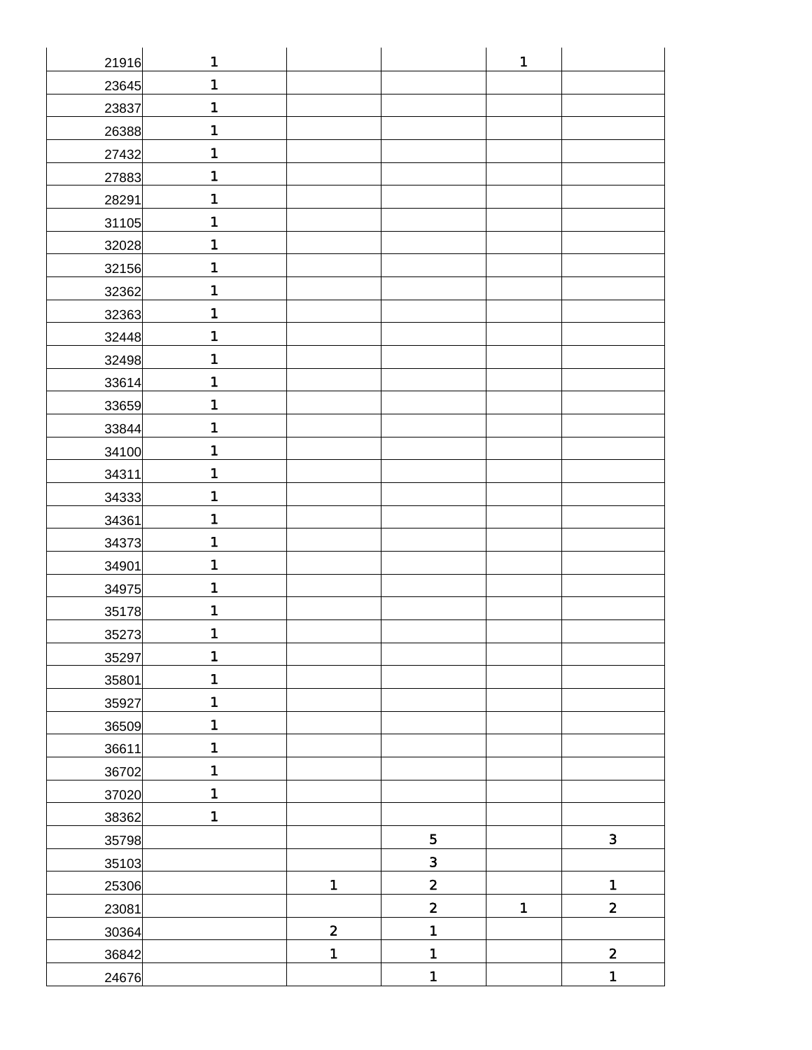| 21916 | 1              |                         |                         | $\mathbf{1}$   |                         |
|-------|----------------|-------------------------|-------------------------|----------------|-------------------------|
| 23645 | $\mathbf{1}$   |                         |                         |                |                         |
| 23837 | 1              |                         |                         |                |                         |
| 26388 | 1              |                         |                         |                |                         |
| 27432 | 1              |                         |                         |                |                         |
| 27883 | 1              |                         |                         |                |                         |
| 28291 | 1              |                         |                         |                |                         |
| 31105 | 1              |                         |                         |                |                         |
| 32028 | 1              |                         |                         |                |                         |
| 32156 | 1              |                         |                         |                |                         |
| 32362 | 1              |                         |                         |                |                         |
| 32363 | 1              |                         |                         |                |                         |
| 32448 | 1              |                         |                         |                |                         |
| 32498 | 1              |                         |                         |                |                         |
| 33614 | 1              |                         |                         |                |                         |
| 33659 | 1              |                         |                         |                |                         |
| 33844 | 1              |                         |                         |                |                         |
| 34100 | 1              |                         |                         |                |                         |
| 34311 | 1              |                         |                         |                |                         |
| 34333 | 1              |                         |                         |                |                         |
| 34361 | 1              |                         |                         |                |                         |
| 34373 | 1              |                         |                         |                |                         |
| 34901 | 1              |                         |                         |                |                         |
| 34975 | 1              |                         |                         |                |                         |
| 35178 | 1              |                         |                         |                |                         |
| 35273 | 1              |                         |                         |                |                         |
| 35297 | 1              |                         |                         |                |                         |
| 35801 | $\blacksquare$ |                         |                         |                |                         |
| 35927 | 1              |                         |                         |                |                         |
| 36509 | 1              |                         |                         |                |                         |
| 36611 | $\mathbf{1}$   |                         |                         |                |                         |
| 36702 | 1              |                         |                         |                |                         |
| 37020 | $\mathbf{1}$   |                         |                         |                |                         |
| 38362 | $\blacksquare$ |                         |                         |                |                         |
| 35798 |                |                         | 5                       |                | $\mathbf{3}$            |
| 35103 |                |                         | $\overline{\mathbf{3}}$ |                |                         |
| 25306 |                | $\blacksquare$          | $\mathbf{2}$            |                | $\blacksquare$          |
| 23081 |                |                         | $\mathbf{2}$            | $\blacksquare$ | $\overline{\mathbf{2}}$ |
| 30364 |                | $\overline{\mathbf{2}}$ | 1                       |                |                         |
| 36842 |                | $\blacksquare$          | 1                       |                | $\mathbf{2}$            |
| 24676 |                |                         | 1                       |                | $\mathbf{1}$            |